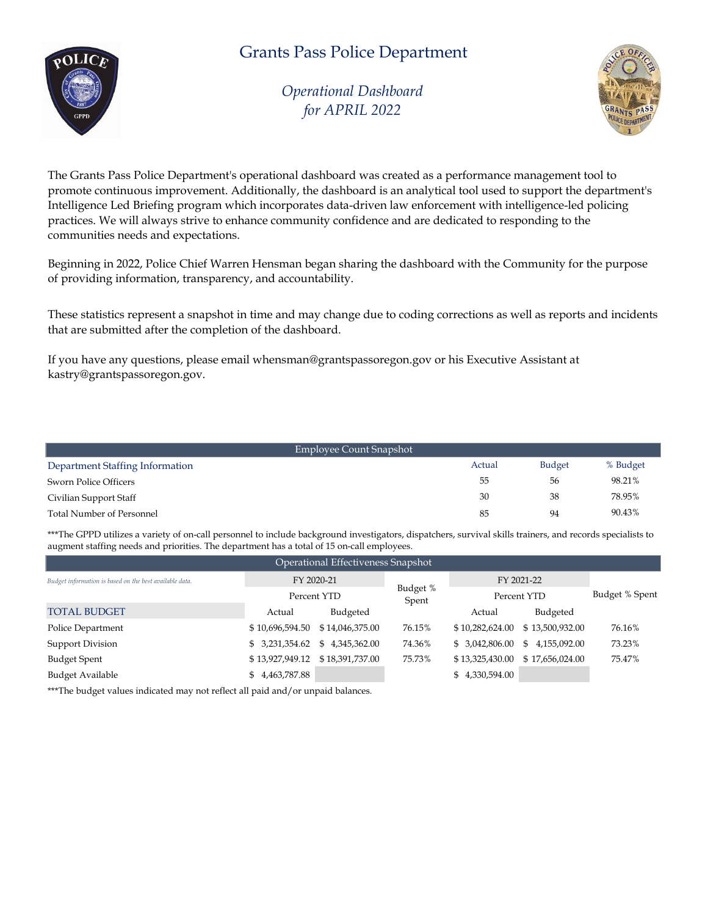

*Operational Dashboard for APRIL 2022*



The Grants Pass Police Department's operational dashboard was created as a performance management tool to promote continuous improvement. Additionally, the dashboard is an analytical tool used to support the department's Intelligence Led Briefing program which incorporates data-driven law enforcement with intelligence-led policing practices. We will always strive to enhance community confidence and are dedicated to responding to the communities needs and expectations.

Beginning in 2022, Police Chief Warren Hensman began sharing the dashboard with the Community for the purpose of providing information, transparency, and accountability.

These statistics represent a snapshot in time and may change due to coding corrections as well as reports and incidents that are submitted after the completion of the dashboard.

If you have any questions, please email whensman@grantspassoregon.gov or his Executive Assistant at kastry@grantspassoregon.gov.

| Employee Count Snapshot          |        |               |          |
|----------------------------------|--------|---------------|----------|
| Department Staffing Information  | Actual | <b>Budget</b> | % Budget |
| Sworn Police Officers            | 55     | 56            | 98.21%   |
| Civilian Support Staff           | 30     | 38            | 78.95%   |
| <b>Total Number of Personnel</b> | 85     | 94            | 90.43%   |

\*\*\*The GPPD utilizes a variety of on-call personnel to include background investigators, dispatchers, survival skills trainers, and records specialists to augment staffing needs and priorities. The department has a total of 15 on-call employees.

| Operational Effectiveness Snapshot                      |                |                                     |                   |                 |                 |                |  |  |
|---------------------------------------------------------|----------------|-------------------------------------|-------------------|-----------------|-----------------|----------------|--|--|
| Budget information is based on the best available data. | FY 2020-21     |                                     |                   | FY 2021-22      |                 |                |  |  |
|                                                         | Percent YTD    |                                     | Budget %<br>Spent | Percent YTD     |                 | Budget % Spent |  |  |
| <b>TOTAL BUDGET</b>                                     | Actual         | Budgeted                            |                   | Actual          | Budgeted        |                |  |  |
| Police Department                                       |                | \$10,696,594.50 \$14,046,375.00     | 76.15%            | \$10,282,624.00 | \$13,500,932.00 | 76.16%         |  |  |
| <b>Support Division</b>                                 |                | $$3,231,354.62 \quad $4,345,362.00$ | 74.36%            | \$ 3,042,806.00 | \$4,155,092.00  | 73.23%         |  |  |
| <b>Budget Spent</b>                                     |                |                                     | 75.73%            | \$13,325,430.00 | \$17,656,024.00 | 75.47%         |  |  |
| <b>Budget Available</b>                                 | \$4,463,787.88 |                                     |                   | \$4,330,594.00  |                 |                |  |  |

\*\*\*The budget values indicated may not reflect all paid and/or unpaid balances.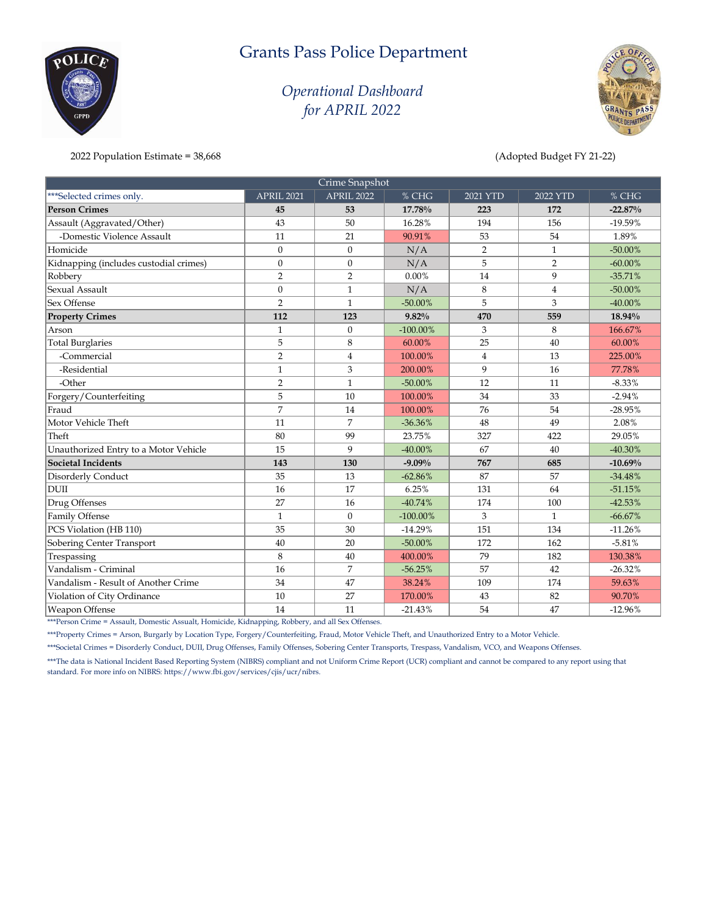### *Operational Dashboard for APRIL 2022*



2022 Population Estimate = 38,668 (Adopted Budget FY 21-22)

 $\rm oCLIC$ 

| Crime Snapshot                         |                |                |             |                |                |            |  |
|----------------------------------------|----------------|----------------|-------------|----------------|----------------|------------|--|
| ***Selected crimes only.               | APRIL 2021     | APRIL 2022     | % CHG       | $2021$ YTD     | 2022 YTD       | % CHG      |  |
| <b>Person Crimes</b>                   | 45             | 53             | 17.78%      | 223            | 172            | $-22.87%$  |  |
| Assault (Aggravated/Other)             | 43             | 50             | 16.28%      | 194            | 156            | $-19.59%$  |  |
| -Domestic Violence Assault             | 11             | 21             | 90.91%      | 53             | 54             | 1.89%      |  |
| Homicide                               | $\mathbf{0}$   | $\Omega$       | N/A         | $\overline{2}$ | $\mathbf{1}$   | $-50.00\%$ |  |
| Kidnapping (includes custodial crimes) | $\mathbf{0}$   | $\mathbf{0}$   | N/A         | 5              | $\overline{2}$ | $-60.00\%$ |  |
| Robbery                                | $\overline{2}$ | $\overline{2}$ | $0.00\%$    | 14             | 9              | $-35.71%$  |  |
| Sexual Assault                         | $\mathbf{0}$   | $\mathbf{1}$   | N/A         | 8              | $\overline{4}$ | $-50.00\%$ |  |
| Sex Offense                            | $\overline{2}$ | $\mathbf{1}$   | $-50.00%$   | 5              | 3              | $-40.00\%$ |  |
| <b>Property Crimes</b>                 | 112            | 123            | 9.82%       | 470            | 559            | 18.94%     |  |
| Arson                                  | $\mathbf{1}$   | $\mathbf{0}$   | $-100.00\%$ | 3              | 8              | 166.67%    |  |
| <b>Total Burglaries</b>                | 5              | 8              | 60.00%      | 25             | 40             | 60.00%     |  |
| -Commercial                            | $\overline{2}$ | $\overline{4}$ | 100.00%     | $\overline{4}$ | 13             | 225.00%    |  |
| -Residential                           | $\mathbf{1}$   | 3              | 200.00%     | 9              | 16             | 77.78%     |  |
| -Other                                 | $\overline{2}$ | $\mathbf{1}$   | $-50.00\%$  | 12             | 11             | $-8.33%$   |  |
| Forgery/Counterfeiting                 | 5              | 10             | 100.00%     | 34             | 33             | $-2.94%$   |  |
| Fraud                                  | $\overline{7}$ | 14             | 100.00%     | 76             | 54             | $-28.95%$  |  |
| Motor Vehicle Theft                    | 11             | 7              | $-36.36%$   | 48             | 49             | 2.08%      |  |
| Theft                                  | 80             | 99             | 23.75%      | 327            | 422            | 29.05%     |  |
| Unauthorized Entry to a Motor Vehicle  | 15             | $\mathbf{Q}$   | $-40.00%$   | 67             | 40             | $-40.30%$  |  |
| <b>Societal Incidents</b>              | 143            | 130            | $-9.09%$    | 767            | 685            | $-10.69%$  |  |
| Disorderly Conduct                     | 35             | 13             | $-62.86%$   | 87             | 57             | $-34.48%$  |  |
| <b>DUII</b>                            | 16             | 17             | 6.25%       | 131            | 64             | $-51.15%$  |  |
| Drug Offenses                          | 27             | 16             | $-40.74%$   | 174            | 100            | $-42.53%$  |  |
| Family Offense                         | $\mathbf{1}$   | $\mathbf{0}$   | $-100.00\%$ | $\mathfrak{Z}$ | $\mathbf{1}$   | $-66.67%$  |  |
| PCS Violation (HB 110)                 | 35             | 30             | $-14.29%$   | 151            | 134            | $-11.26%$  |  |
| Sobering Center Transport              | 40             | 20             | $-50.00\%$  | 172            | 162            | $-5.81%$   |  |
| Trespassing                            | 8              | 40             | 400.00%     | 79             | 182            | 130.38%    |  |
| Vandalism - Criminal                   | 16             | 7              | $-56.25%$   | 57             | 42             | $-26.32%$  |  |
| Vandalism - Result of Another Crime    | 34             | 47             | 38.24%      | 109            | 174            | 59.63%     |  |
| Violation of City Ordinance            | 10             | 27             | 170.00%     | 43             | 82             | 90.70%     |  |
| <b>Weapon Offense</b>                  | 14             | 11             | $-21.43%$   | 54             | 47             | $-12.96%$  |  |

\*\*\*Person Crime = Assault, Domestic Assualt, Homicide, Kidnapping, Robbery, and all Sex Offenses.

\*\*\*Property Crimes = Arson, Burgarly by Location Type, Forgery/Counterfeiting, Fraud, Motor Vehicle Theft, and Unauthorized Entry to a Motor Vehicle.

\*\*\*Societal Crimes = Disorderly Conduct, DUII, Drug Offenses, Family Offenses, Sobering Center Transports, Trespass, Vandalism, VCO, and Weapons Offenses.

\*\*\*The data is National Incident Based Reporting System (NIBRS) compliant and not Uniform Crime Report (UCR) compliant and cannot be compared to any report using that standard. For more info on NIBRS: https://www.fbi.gov/services/cjis/ucr/nibrs.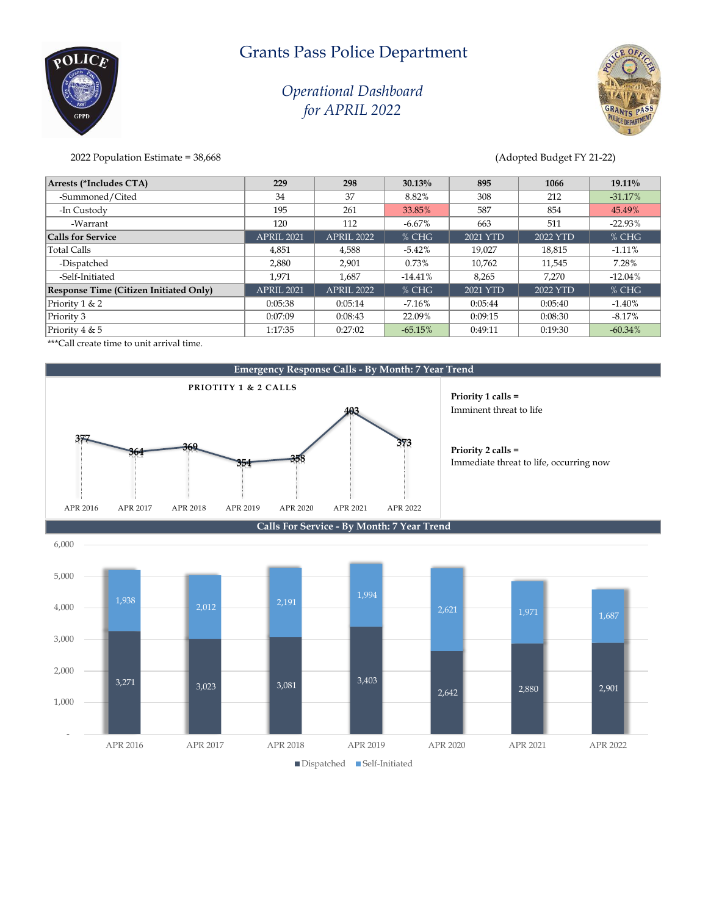### *Operational Dashboard for APRIL 2022*



2022 Population Estimate = 38,668 (Adopted Budget FY 21-22)

 $\delta \Omega$ 

| Arrests (*Includes CTA)                | 229        | 298        | $30.13\%$ | 895      | 1066     | $19.11\%$ |
|----------------------------------------|------------|------------|-----------|----------|----------|-----------|
| -Summoned/Cited                        | 34         | 37         | 8.82%     | 308      | 212      | $-31.17%$ |
| -In Custody                            | 195        | 261        | 33.85%    | 587      | 854      | 45.49%    |
| -Warrant                               | 120        | 112        | $-6.67\%$ | 663      | 511      | $-22.93%$ |
| <b>Calls for Service</b>               | APRIL 2021 | APRIL 2022 | $%$ CHG   | 2021 YTD | 2022 YTD | $%$ CHG   |
| <b>Total Calls</b>                     | 4,851      | 4,588      | $-5.42%$  | 19,027   | 18,815   | $-1.11%$  |
| -Dispatched                            | 2,880      | 2,901      | 0.73%     | 10,762   | 11,545   | 7.28%     |
| -Self-Initiated                        | 1.971      | 1.687      | $-14.41%$ | 8.265    | 7.270    | $-12.04%$ |
| Response Time (Citizen Initiated Only) | APRIL 2021 | APRIL 2022 | $%$ CHG   | 2021 YTD | 2022 YTD | $%$ CHG   |
| Priority 1 & 2                         | 0:05:38    | 0:05:14    | $-7.16\%$ | 0:05:44  | 0:05:40  | $-1.40%$  |
| Priority 3                             | 0:07:09    | 0:08:43    | 22.09%    | 0:09:15  | 0:08:30  | $-8.17%$  |
| Priority 4 & 5                         | 1:17:35    | 0:27:02    | $-65.15%$ | 0:49:11  | 0:19:30  | $-60.34%$ |

\*\*\*Call create time to unit arrival time.



**Priority 1 calls =**  Imminent threat to life

**Priority 2 calls =**  Immediate threat to life, occurring now